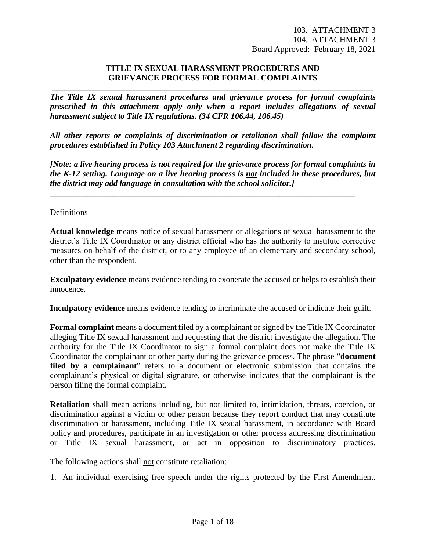### **TITLE IX SEXUAL HARASSMENT PROCEDURES AND GRIEVANCE PROCESS FOR FORMAL COMPLAINTS**

*The Title IX sexual harassment procedures and grievance process for formal complaints prescribed in this attachment apply only when a report includes allegations of sexual harassment subject to Title IX regulations. (34 CFR 106.44, 106.45)*

\_\_\_\_\_\_\_\_\_\_\_\_\_\_\_\_\_\_\_\_\_\_\_\_\_\_\_\_\_\_\_\_\_\_\_\_\_\_\_\_\_\_\_\_\_\_\_\_\_\_\_\_\_\_\_\_\_\_\_\_\_\_\_\_\_\_\_\_\_\_\_\_\_\_\_\_\_

*All other reports or complaints of discrimination or retaliation shall follow the complaint procedures established in Policy 103 Attachment 2 regarding discrimination.*

*[Note: a live hearing process is not required for the grievance process for formal complaints in the K-12 setting. Language on a live hearing process is not included in these procedures, but the district may add language in consultation with the school solicitor.]*

\_\_\_\_\_\_\_\_\_\_\_\_\_\_\_\_\_\_\_\_\_\_\_\_\_\_\_\_\_\_\_\_\_\_\_\_\_\_\_\_\_\_\_\_\_\_\_\_\_\_\_\_\_\_\_\_\_\_\_\_\_\_\_\_\_\_\_\_\_\_\_\_\_

### Definitions

**Actual knowledge** means notice of sexual harassment or allegations of sexual harassment to the district's Title IX Coordinator or any district official who has the authority to institute corrective measures on behalf of the district, or to any employee of an elementary and secondary school, other than the respondent.

**Exculpatory evidence** means evidence tending to exonerate the accused or helps to establish their innocence.

**Inculpatory evidence** means evidence tending to incriminate the accused or indicate their guilt.

**Formal complaint** means a document filed by a complainant or signed by the Title IX Coordinator alleging Title IX sexual harassment and requesting that the district investigate the allegation. The authority for the Title IX Coordinator to sign a formal complaint does not make the Title IX Coordinator the complainant or other party during the grievance process. The phrase "**document**  filed by a complainant" refers to a document or electronic submission that contains the complainant's physical or digital signature, or otherwise indicates that the complainant is the person filing the formal complaint.

**Retaliation** shall mean actions including, but not limited to, intimidation, threats, coercion, or discrimination against a victim or other person because they report conduct that may constitute discrimination or harassment, including Title IX sexual harassment, in accordance with Board policy and procedures, participate in an investigation or other process addressing discrimination or Title IX sexual harassment, or act in opposition to discriminatory practices.

The following actions shall not constitute retaliation:

1. An individual exercising free speech under the rights protected by the First Amendment.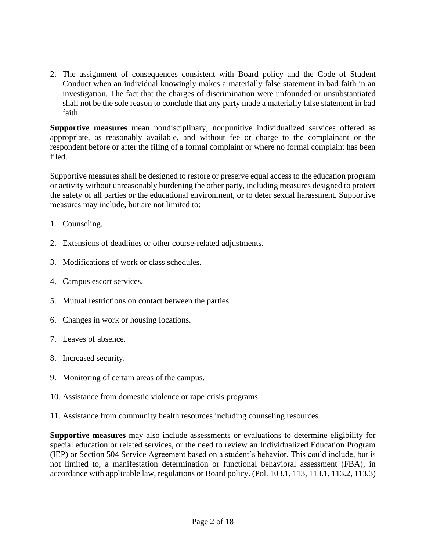2. The assignment of consequences consistent with Board policy and the Code of Student Conduct when an individual knowingly makes a materially false statement in bad faith in an investigation. The fact that the charges of discrimination were unfounded or unsubstantiated shall not be the sole reason to conclude that any party made a materially false statement in bad faith.

**Supportive measures** mean nondisciplinary, nonpunitive individualized services offered as appropriate, as reasonably available, and without fee or charge to the complainant or the respondent before or after the filing of a formal complaint or where no formal complaint has been filed.

Supportive measures shall be designed to restore or preserve equal access to the education program or activity without unreasonably burdening the other party, including measures designed to protect the safety of all parties or the educational environment, or to deter sexual harassment. Supportive measures may include, but are not limited to:

- 1. Counseling.
- 2. Extensions of deadlines or other course-related adjustments.
- 3. Modifications of work or class schedules.
- 4. Campus escort services.
- 5. Mutual restrictions on contact between the parties.
- 6. Changes in work or housing locations.
- 7. Leaves of absence.
- 8. Increased security.
- 9. Monitoring of certain areas of the campus.
- 10. Assistance from domestic violence or rape crisis programs.

11. Assistance from community health resources including counseling resources.

**Supportive measures** may also include assessments or evaluations to determine eligibility for special education or related services, or the need to review an Individualized Education Program (IEP) or Section 504 Service Agreement based on a student's behavior. This could include, but is not limited to, a manifestation determination or functional behavioral assessment (FBA), in accordance with applicable law, regulations or Board policy. (Pol. 103.1, 113, 113.1, 113.2, 113.3)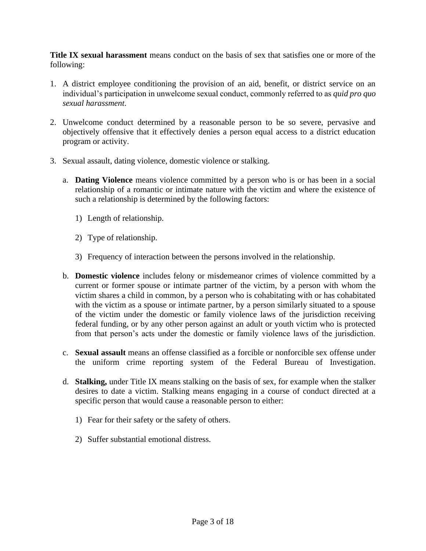**Title IX sexual harassment** means conduct on the basis of sex that satisfies one or more of the following:

- 1. A district employee conditioning the provision of an aid, benefit, or district service on an individual's participation in unwelcome sexual conduct, commonly referred to as *quid pro quo sexual harassment*.
- 2. Unwelcome conduct determined by a reasonable person to be so severe, pervasive and objectively offensive that it effectively denies a person equal access to a district education program or activity.
- 3. Sexual assault, dating violence, domestic violence or stalking.
	- a. **Dating Violence** means violence committed by a person who is or has been in a social relationship of a romantic or intimate nature with the victim and where the existence of such a relationship is determined by the following factors:
		- 1) Length of relationship.
		- 2) Type of relationship.
		- 3) Frequency of interaction between the persons involved in the relationship.
	- b. **Domestic violence** includes felony or misdemeanor crimes of violence committed by a current or former spouse or intimate partner of the victim, by a person with whom the victim shares a child in common, by a person who is cohabitating with or has cohabitated with the victim as a spouse or intimate partner, by a person similarly situated to a spouse of the victim under the domestic or family violence laws of the jurisdiction receiving federal funding, or by any other person against an adult or youth victim who is protected from that person's acts under the domestic or family violence laws of the jurisdiction.
	- c. **Sexual assault** means an offense classified as a forcible or nonforcible sex offense under the uniform crime reporting system of the Federal Bureau of Investigation.
	- d. **Stalking,** under Title IX means stalking on the basis of sex, for example when the stalker desires to date a victim. Stalking means engaging in a course of conduct directed at a specific person that would cause a reasonable person to either:
		- 1) Fear for their safety or the safety of others.
		- 2) Suffer substantial emotional distress.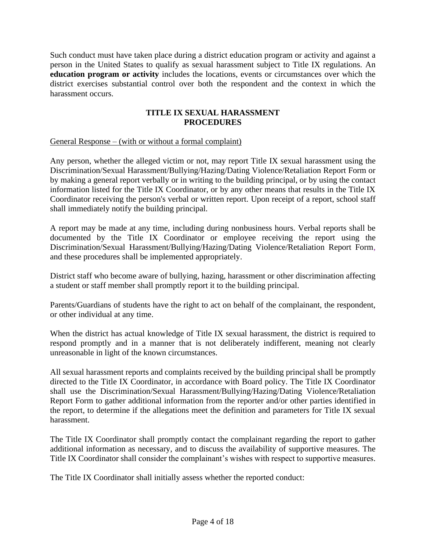Such conduct must have taken place during a district education program or activity and against a person in the United States to qualify as sexual harassment subject to Title IX regulations. An **education program or activity** includes the locations, events or circumstances over which the district exercises substantial control over both the respondent and the context in which the harassment occurs.

# **TITLE IX SEXUAL HARASSMENT PROCEDURES**

## General Response – (with or without a formal complaint)

Any person, whether the alleged victim or not, may report Title IX sexual harassment using the Discrimination/Sexual Harassment/Bullying/Hazing/Dating Violence/Retaliation Report Form or by making a general report verbally or in writing to the building principal, or by using the contact information listed for the Title IX Coordinator, or by any other means that results in the Title IX Coordinator receiving the person's verbal or written report. Upon receipt of a report, school staff shall immediately notify the building principal.

A report may be made at any time, including during nonbusiness hours. Verbal reports shall be documented by the Title IX Coordinator or employee receiving the report using the Discrimination/Sexual Harassment/Bullying/Hazing/Dating Violence/Retaliation Report Form, and these procedures shall be implemented appropriately.

District staff who become aware of bullying, hazing, harassment or other discrimination affecting a student or staff member shall promptly report it to the building principal.

Parents/Guardians of students have the right to act on behalf of the complainant, the respondent, or other individual at any time.

When the district has actual knowledge of Title IX sexual harassment, the district is required to respond promptly and in a manner that is not deliberately indifferent, meaning not clearly unreasonable in light of the known circumstances.

All sexual harassment reports and complaints received by the building principal shall be promptly directed to the Title IX Coordinator, in accordance with Board policy. The Title IX Coordinator shall use the Discrimination/Sexual Harassment/Bullying/Hazing/Dating Violence/Retaliation Report Form to gather additional information from the reporter and/or other parties identified in the report, to determine if the allegations meet the definition and parameters for Title IX sexual harassment.

The Title IX Coordinator shall promptly contact the complainant regarding the report to gather additional information as necessary, and to discuss the availability of supportive measures. The Title IX Coordinator shall consider the complainant's wishes with respect to supportive measures.

The Title IX Coordinator shall initially assess whether the reported conduct: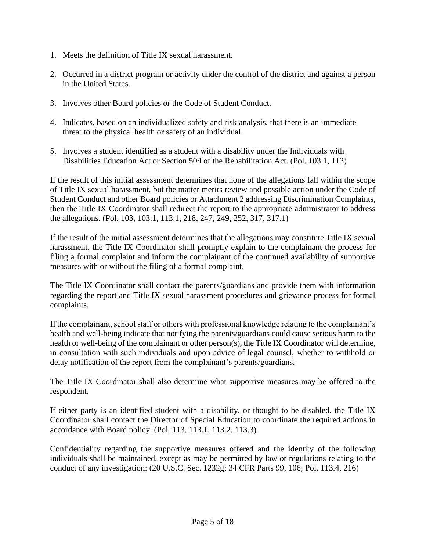- 1. Meets the definition of Title IX sexual harassment.
- 2. Occurred in a district program or activity under the control of the district and against a person in the United States.
- 3. Involves other Board policies or the Code of Student Conduct.
- 4. Indicates, based on an individualized safety and risk analysis, that there is an immediate threat to the physical health or safety of an individual.
- 5. Involves a student identified as a student with a disability under the Individuals with Disabilities Education Act or Section 504 of the Rehabilitation Act. (Pol. 103.1, 113)

If the result of this initial assessment determines that none of the allegations fall within the scope of Title IX sexual harassment, but the matter merits review and possible action under the Code of Student Conduct and other Board policies or Attachment 2 addressing Discrimination Complaints, then the Title IX Coordinator shall redirect the report to the appropriate administrator to address the allegations. (Pol. 103, 103.1, 113.1, 218, 247, 249, 252, 317, 317.1)

If the result of the initial assessment determines that the allegations may constitute Title IX sexual harassment, the Title IX Coordinator shall promptly explain to the complainant the process for filing a formal complaint and inform the complainant of the continued availability of supportive measures with or without the filing of a formal complaint.

The Title IX Coordinator shall contact the parents/guardians and provide them with information regarding the report and Title IX sexual harassment procedures and grievance process for formal complaints.

If the complainant, school staff or others with professional knowledge relating to the complainant's health and well-being indicate that notifying the parents/guardians could cause serious harm to the health or well-being of the complainant or other person(s), the Title IX Coordinator will determine, in consultation with such individuals and upon advice of legal counsel, whether to withhold or delay notification of the report from the complainant's parents/guardians.

The Title IX Coordinator shall also determine what supportive measures may be offered to the respondent.

If either party is an identified student with a disability, or thought to be disabled, the Title IX Coordinator shall contact the Director of Special Education to coordinate the required actions in accordance with Board policy. (Pol. 113, 113.1, 113.2, 113.3)

Confidentiality regarding the supportive measures offered and the identity of the following individuals shall be maintained, except as may be permitted by law or regulations relating to the conduct of any investigation: (20 U.S.C. Sec. 1232g; 34 CFR Parts 99, 106; Pol. 113.4, 216)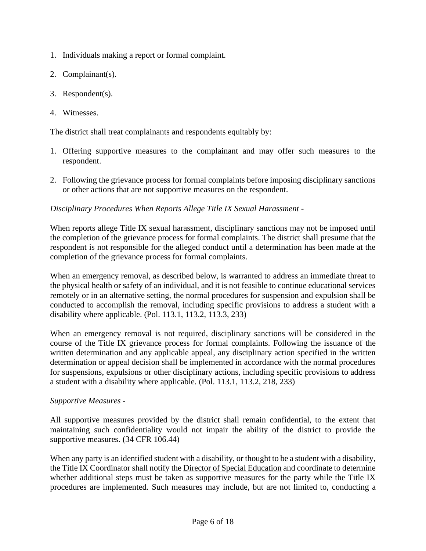- 1. Individuals making a report or formal complaint.
- 2. Complainant(s).
- 3. Respondent(s).
- 4. Witnesses.

The district shall treat complainants and respondents equitably by:

- 1. Offering supportive measures to the complainant and may offer such measures to the respondent.
- 2. Following the grievance process for formal complaints before imposing disciplinary sanctions or other actions that are not supportive measures on the respondent.

# *Disciplinary Procedures When Reports Allege Title IX Sexual Harassment -*

When reports allege Title IX sexual harassment, disciplinary sanctions may not be imposed until the completion of the grievance process for formal complaints. The district shall presume that the respondent is not responsible for the alleged conduct until a determination has been made at the completion of the grievance process for formal complaints.

When an emergency removal, as described below, is warranted to address an immediate threat to the physical health or safety of an individual, and it is not feasible to continue educational services remotely or in an alternative setting, the normal procedures for suspension and expulsion shall be conducted to accomplish the removal, including specific provisions to address a student with a disability where applicable. (Pol. 113.1, 113.2, 113.3, 233)

When an emergency removal is not required, disciplinary sanctions will be considered in the course of the Title IX grievance process for formal complaints. Following the issuance of the written determination and any applicable appeal, any disciplinary action specified in the written determination or appeal decision shall be implemented in accordance with the normal procedures for suspensions, expulsions or other disciplinary actions, including specific provisions to address a student with a disability where applicable. (Pol. 113.1, 113.2, 218, 233)

# *Supportive Measures -*

All supportive measures provided by the district shall remain confidential, to the extent that maintaining such confidentiality would not impair the ability of the district to provide the supportive measures. (34 CFR 106.44)

When any party is an identified student with a disability, or thought to be a student with a disability, the Title IX Coordinator shall notify the Director of Special Education and coordinate to determine whether additional steps must be taken as supportive measures for the party while the Title IX procedures are implemented. Such measures may include, but are not limited to, conducting a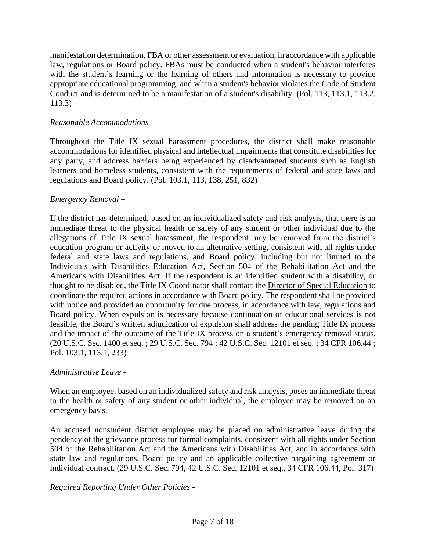manifestation determination, FBA or other assessment or evaluation, in accordance with applicable law, regulations or Board policy. FBAs must be conducted when a student's behavior interferes with the student's learning or the learning of others and information is necessary to provide appropriate educational programming, and when a student's behavior violates the Code of Student Conduct and is determined to be a manifestation of a student's disability. (Pol. 113, 113.1, 113.2, 113.3)

## *Reasonable Accommodations –*

Throughout the Title IX sexual harassment procedures, the district shall make reasonable accommodations for identified physical and intellectual impairments that constitute disabilities for any party, and address barriers being experienced by disadvantaged students such as English learners and homeless students, consistent with the requirements of federal and state laws and regulations and Board policy. (Pol. 103.1, 113, 138, 251, 832)

### *Emergency Removal –*

If the district has determined, based on an individualized safety and risk analysis, that there is an immediate threat to the physical health or safety of any student or other individual due to the allegations of Title IX sexual harassment, the respondent may be removed from the district's education program or activity or moved to an alternative setting, consistent with all rights under federal and state laws and regulations, and Board policy, including but not limited to the Individuals with Disabilities Education Act, Section 504 of the Rehabilitation Act and the Americans with Disabilities Act. If the respondent is an identified student with a disability, or thought to be disabled, the Title IX Coordinator shall contact the Director of Special Education to coordinate the required actions in accordance with Board policy. The respondent shall be provided with notice and provided an opportunity for due process, in accordance with law, regulations and Board policy. When expulsion is necessary because continuation of educational services is not feasible, the Board's written adjudication of expulsion shall address the pending Title IX process and the impact of the outcome of the Title IX process on a student's emergency removal status. (20 U.S.C. Sec. 1400 et seq. ; 29 U.S.C. Sec. 794 ; 42 U.S.C. Sec. 12101 et seq. ; 34 CFR 106.44 ; Pol. 103.1, 113.1, 233)

# *Administrative Leave -*

When an employee, based on an individualized safety and risk analysis, poses an immediate threat to the health or safety of any student or other individual, the employee may be removed on an emergency basis*.*

An accused nonstudent district employee may be placed on administrative leave during the pendency of the grievance process for formal complaints, consistent with all rights under Section 504 of the Rehabilitation Act and the Americans with Disabilities Act, and in accordance with state law and regulations, Board policy and an applicable collective bargaining agreement or individual contract. (29 U.S.C. Sec. 794, 42 U.S.C. Sec. 12101 et seq., 34 CFR 106.44, Pol. 317)

### *Required Reporting Under Other Policies -*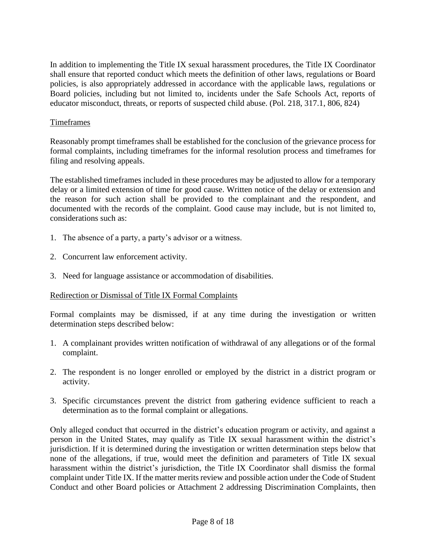In addition to implementing the Title IX sexual harassment procedures, the Title IX Coordinator shall ensure that reported conduct which meets the definition of other laws, regulations or Board policies, is also appropriately addressed in accordance with the applicable laws, regulations or Board policies, including but not limited to, incidents under the Safe Schools Act, reports of educator misconduct, threats, or reports of suspected child abuse. (Pol. 218, 317.1, 806, 824)

## Timeframes

Reasonably prompt timeframes shall be established for the conclusion of the grievance process for formal complaints, including timeframes for the informal resolution process and timeframes for filing and resolving appeals.

The established timeframes included in these procedures may be adjusted to allow for a temporary delay or a limited extension of time for good cause. Written notice of the delay or extension and the reason for such action shall be provided to the complainant and the respondent, and documented with the records of the complaint. Good cause may include, but is not limited to, considerations such as:

- 1. The absence of a party, a party's advisor or a witness.
- 2. Concurrent law enforcement activity.
- 3. Need for language assistance or accommodation of disabilities.

### Redirection or Dismissal of Title IX Formal Complaints

Formal complaints may be dismissed, if at any time during the investigation or written determination steps described below:

- 1. A complainant provides written notification of withdrawal of any allegations or of the formal complaint.
- 2. The respondent is no longer enrolled or employed by the district in a district program or activity.
- 3. Specific circumstances prevent the district from gathering evidence sufficient to reach a determination as to the formal complaint or allegations.

Only alleged conduct that occurred in the district's education program or activity, and against a person in the United States, may qualify as Title IX sexual harassment within the district's jurisdiction. If it is determined during the investigation or written determination steps below that none of the allegations, if true, would meet the definition and parameters of Title IX sexual harassment within the district's jurisdiction, the Title IX Coordinator shall dismiss the formal complaint under Title IX. If the matter merits review and possible action under the Code of Student Conduct and other Board policies or Attachment 2 addressing Discrimination Complaints, then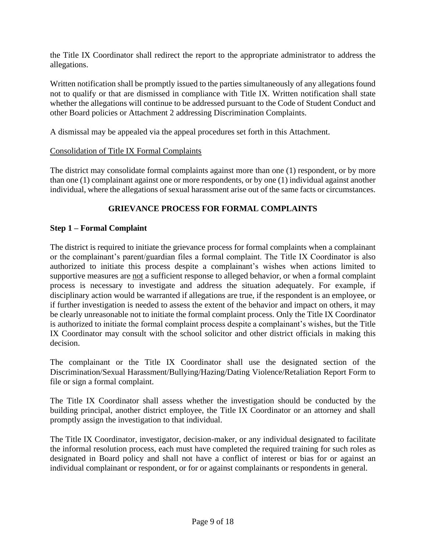the Title IX Coordinator shall redirect the report to the appropriate administrator to address the allegations.

Written notification shall be promptly issued to the parties simultaneously of any allegations found not to qualify or that are dismissed in compliance with Title IX. Written notification shall state whether the allegations will continue to be addressed pursuant to the Code of Student Conduct and other Board policies or Attachment 2 addressing Discrimination Complaints.

A dismissal may be appealed via the appeal procedures set forth in this Attachment.

## Consolidation of Title IX Formal Complaints

The district may consolidate formal complaints against more than one (1) respondent, or by more than one (1) complainant against one or more respondents, or by one (1) individual against another individual, where the allegations of sexual harassment arise out of the same facts or circumstances.

# **GRIEVANCE PROCESS FOR FORMAL COMPLAINTS**

## **Step 1 – Formal Complaint**

The district is required to initiate the grievance process for formal complaints when a complainant or the complainant's parent/guardian files a formal complaint. The Title IX Coordinator is also authorized to initiate this process despite a complainant's wishes when actions limited to supportive measures are not a sufficient response to alleged behavior, or when a formal complaint process is necessary to investigate and address the situation adequately. For example, if disciplinary action would be warranted if allegations are true, if the respondent is an employee, or if further investigation is needed to assess the extent of the behavior and impact on others, it may be clearly unreasonable not to initiate the formal complaint process. Only the Title IX Coordinator is authorized to initiate the formal complaint process despite a complainant's wishes, but the Title IX Coordinator may consult with the school solicitor and other district officials in making this decision.

The complainant or the Title IX Coordinator shall use the designated section of the Discrimination/Sexual Harassment/Bullying/Hazing/Dating Violence/Retaliation Report Form to file or sign a formal complaint.

The Title IX Coordinator shall assess whether the investigation should be conducted by the building principal, another district employee, the Title IX Coordinator or an attorney and shall promptly assign the investigation to that individual.

The Title IX Coordinator, investigator, decision-maker, or any individual designated to facilitate the informal resolution process, each must have completed the required training for such roles as designated in Board policy and shall not have a conflict of interest or bias for or against an individual complainant or respondent, or for or against complainants or respondents in general.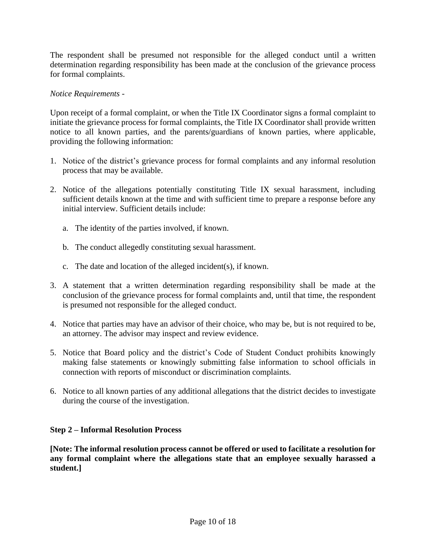The respondent shall be presumed not responsible for the alleged conduct until a written determination regarding responsibility has been made at the conclusion of the grievance process for formal complaints.

## *Notice Requirements -*

Upon receipt of a formal complaint, or when the Title IX Coordinator signs a formal complaint to initiate the grievance process for formal complaints, the Title IX Coordinator shall provide written notice to all known parties, and the parents/guardians of known parties, where applicable, providing the following information:

- 1. Notice of the district's grievance process for formal complaints and any informal resolution process that may be available.
- 2. Notice of the allegations potentially constituting Title IX sexual harassment, including sufficient details known at the time and with sufficient time to prepare a response before any initial interview. Sufficient details include:
	- a. The identity of the parties involved, if known.
	- b. The conduct allegedly constituting sexual harassment.
	- c. The date and location of the alleged incident(s), if known.
- 3. A statement that a written determination regarding responsibility shall be made at the conclusion of the grievance process for formal complaints and, until that time, the respondent is presumed not responsible for the alleged conduct.
- 4. Notice that parties may have an advisor of their choice, who may be, but is not required to be, an attorney. The advisor may inspect and review evidence.
- 5. Notice that Board policy and the district's Code of Student Conduct prohibits knowingly making false statements or knowingly submitting false information to school officials in connection with reports of misconduct or discrimination complaints.
- 6. Notice to all known parties of any additional allegations that the district decides to investigate during the course of the investigation.

# **Step 2 – Informal Resolution Process**

**[Note: The informal resolution process cannot be offered or used to facilitate a resolution for any formal complaint where the allegations state that an employee sexually harassed a student.]**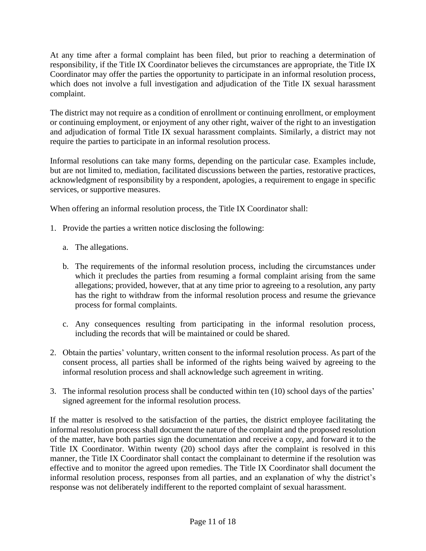At any time after a formal complaint has been filed, but prior to reaching a determination of responsibility, if the Title IX Coordinator believes the circumstances are appropriate, the Title IX Coordinator may offer the parties the opportunity to participate in an informal resolution process, which does not involve a full investigation and adjudication of the Title IX sexual harassment complaint.

The district may not require as a condition of enrollment or continuing enrollment, or employment or continuing employment, or enjoyment of any other right, waiver of the right to an investigation and adjudication of formal Title IX sexual harassment complaints. Similarly, a district may not require the parties to participate in an informal resolution process.

Informal resolutions can take many forms, depending on the particular case. Examples include, but are not limited to, mediation, facilitated discussions between the parties, restorative practices, acknowledgment of responsibility by a respondent, apologies, a requirement to engage in specific services, or supportive measures.

When offering an informal resolution process, the Title IX Coordinator shall:

- 1. Provide the parties a written notice disclosing the following:
	- a. The allegations.
	- b. The requirements of the informal resolution process, including the circumstances under which it precludes the parties from resuming a formal complaint arising from the same allegations; provided, however, that at any time prior to agreeing to a resolution, any party has the right to withdraw from the informal resolution process and resume the grievance process for formal complaints.
	- c. Any consequences resulting from participating in the informal resolution process, including the records that will be maintained or could be shared.
- 2. Obtain the parties' voluntary, written consent to the informal resolution process. As part of the consent process, all parties shall be informed of the rights being waived by agreeing to the informal resolution process and shall acknowledge such agreement in writing.
- 3. The informal resolution process shall be conducted within ten (10) school days of the parties' signed agreement for the informal resolution process.

If the matter is resolved to the satisfaction of the parties, the district employee facilitating the informal resolution process shall document the nature of the complaint and the proposed resolution of the matter, have both parties sign the documentation and receive a copy, and forward it to the Title IX Coordinator. Within twenty (20) school days after the complaint is resolved in this manner, the Title IX Coordinator shall contact the complainant to determine if the resolution was effective and to monitor the agreed upon remedies. The Title IX Coordinator shall document the informal resolution process, responses from all parties, and an explanation of why the district's response was not deliberately indifferent to the reported complaint of sexual harassment.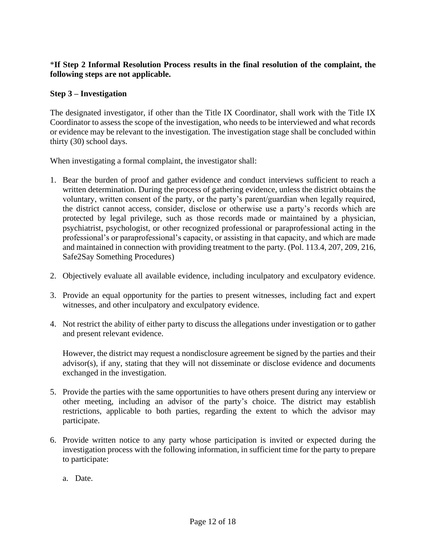# \***If Step 2 Informal Resolution Process results in the final resolution of the complaint, the following steps are not applicable.**

# **Step 3 – Investigation**

The designated investigator, if other than the Title IX Coordinator, shall work with the Title IX Coordinator to assess the scope of the investigation, who needs to be interviewed and what records or evidence may be relevant to the investigation. The investigation stage shall be concluded within thirty (30) school days.

When investigating a formal complaint, the investigator shall:

- 1. Bear the burden of proof and gather evidence and conduct interviews sufficient to reach a written determination. During the process of gathering evidence, unless the district obtains the voluntary, written consent of the party, or the party's parent/guardian when legally required, the district cannot access, consider, disclose or otherwise use a party's records which are protected by legal privilege, such as those records made or maintained by a physician, psychiatrist, psychologist, or other recognized professional or paraprofessional acting in the professional's or paraprofessional's capacity, or assisting in that capacity, and which are made and maintained in connection with providing treatment to the party. (Pol. 113.4, 207, 209, 216, Safe2Say Something Procedures)
- 2. Objectively evaluate all available evidence, including inculpatory and exculpatory evidence.
- 3. Provide an equal opportunity for the parties to present witnesses, including fact and expert witnesses, and other inculpatory and exculpatory evidence.
- 4. Not restrict the ability of either party to discuss the allegations under investigation or to gather and present relevant evidence.

However, the district may request a nondisclosure agreement be signed by the parties and their advisor(s), if any, stating that they will not disseminate or disclose evidence and documents exchanged in the investigation.

- 5. Provide the parties with the same opportunities to have others present during any interview or other meeting, including an advisor of the party's choice. The district may establish restrictions, applicable to both parties, regarding the extent to which the advisor may participate.
- 6. Provide written notice to any party whose participation is invited or expected during the investigation process with the following information, in sufficient time for the party to prepare to participate:
	- a. Date.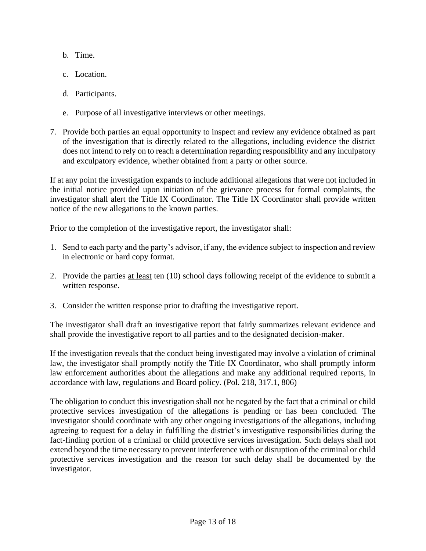- b. Time.
- c. Location.
- d. Participants.
- e. Purpose of all investigative interviews or other meetings.
- 7. Provide both parties an equal opportunity to inspect and review any evidence obtained as part of the investigation that is directly related to the allegations, including evidence the district does not intend to rely on to reach a determination regarding responsibility and any inculpatory and exculpatory evidence, whether obtained from a party or other source.

If at any point the investigation expands to include additional allegations that were not included in the initial notice provided upon initiation of the grievance process for formal complaints, the investigator shall alert the Title IX Coordinator. The Title IX Coordinator shall provide written notice of the new allegations to the known parties.

Prior to the completion of the investigative report, the investigator shall:

- 1. Send to each party and the party's advisor, if any, the evidence subject to inspection and review in electronic or hard copy format.
- 2. Provide the parties at least ten (10) school days following receipt of the evidence to submit a written response.
- 3. Consider the written response prior to drafting the investigative report.

The investigator shall draft an investigative report that fairly summarizes relevant evidence and shall provide the investigative report to all parties and to the designated decision-maker.

If the investigation reveals that the conduct being investigated may involve a violation of criminal law, the investigator shall promptly notify the Title IX Coordinator, who shall promptly inform law enforcement authorities about the allegations and make any additional required reports, in accordance with law, regulations and Board policy. (Pol. 218, 317.1, 806)

The obligation to conduct this investigation shall not be negated by the fact that a criminal or child protective services investigation of the allegations is pending or has been concluded. The investigator should coordinate with any other ongoing investigations of the allegations, including agreeing to request for a delay in fulfilling the district's investigative responsibilities during the fact-finding portion of a criminal or child protective services investigation. Such delays shall not extend beyond the time necessary to prevent interference with or disruption of the criminal or child protective services investigation and the reason for such delay shall be documented by the investigator.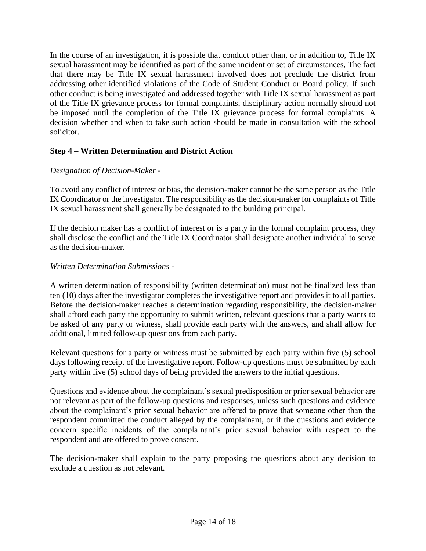In the course of an investigation, it is possible that conduct other than, or in addition to, Title IX sexual harassment may be identified as part of the same incident or set of circumstances, The fact that there may be Title IX sexual harassment involved does not preclude the district from addressing other identified violations of the Code of Student Conduct or Board policy. If such other conduct is being investigated and addressed together with Title IX sexual harassment as part of the Title IX grievance process for formal complaints, disciplinary action normally should not be imposed until the completion of the Title IX grievance process for formal complaints. A decision whether and when to take such action should be made in consultation with the school solicitor.

# **Step 4 – Written Determination and District Action**

# *Designation of Decision-Maker -*

To avoid any conflict of interest or bias, the decision-maker cannot be the same person as the Title IX Coordinator or the investigator. The responsibility as the decision-maker for complaints of Title IX sexual harassment shall generally be designated to the building principal.

If the decision maker has a conflict of interest or is a party in the formal complaint process, they shall disclose the conflict and the Title IX Coordinator shall designate another individual to serve as the decision-maker.

# *Written Determination Submissions -*

A written determination of responsibility (written determination) must not be finalized less than ten (10) days after the investigator completes the investigative report and provides it to all parties. Before the decision-maker reaches a determination regarding responsibility, the decision-maker shall afford each party the opportunity to submit written, relevant questions that a party wants to be asked of any party or witness, shall provide each party with the answers, and shall allow for additional, limited follow-up questions from each party.

Relevant questions for a party or witness must be submitted by each party within five (5) school days following receipt of the investigative report. Follow-up questions must be submitted by each party within five (5) school days of being provided the answers to the initial questions.

Questions and evidence about the complainant's sexual predisposition or prior sexual behavior are not relevant as part of the follow-up questions and responses, unless such questions and evidence about the complainant's prior sexual behavior are offered to prove that someone other than the respondent committed the conduct alleged by the complainant, or if the questions and evidence concern specific incidents of the complainant's prior sexual behavior with respect to the respondent and are offered to prove consent.

The decision-maker shall explain to the party proposing the questions about any decision to exclude a question as not relevant.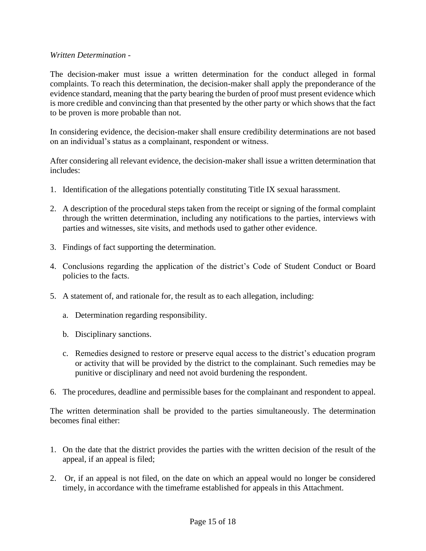### *Written Determination -*

The decision-maker must issue a written determination for the conduct alleged in formal complaints. To reach this determination, the decision-maker shall apply the preponderance of the evidence standard, meaning that the party bearing the burden of proof must present evidence which is more credible and convincing than that presented by the other party or which shows that the fact to be proven is more probable than not.

In considering evidence, the decision-maker shall ensure credibility determinations are not based on an individual's status as a complainant, respondent or witness.

After considering all relevant evidence, the decision-maker shall issue a written determination that includes:

- 1. Identification of the allegations potentially constituting Title IX sexual harassment.
- 2. A description of the procedural steps taken from the receipt or signing of the formal complaint through the written determination, including any notifications to the parties, interviews with parties and witnesses, site visits, and methods used to gather other evidence.
- 3. Findings of fact supporting the determination.
- 4. Conclusions regarding the application of the district's Code of Student Conduct or Board policies to the facts.
- 5. A statement of, and rationale for, the result as to each allegation, including:
	- a. Determination regarding responsibility.
	- b. Disciplinary sanctions.
	- c. Remedies designed to restore or preserve equal access to the district's education program or activity that will be provided by the district to the complainant. Such remedies may be punitive or disciplinary and need not avoid burdening the respondent.
- 6. The procedures, deadline and permissible bases for the complainant and respondent to appeal.

The written determination shall be provided to the parties simultaneously. The determination becomes final either:

- 1. On the date that the district provides the parties with the written decision of the result of the appeal, if an appeal is filed;
- 2. Or, if an appeal is not filed, on the date on which an appeal would no longer be considered timely, in accordance with the timeframe established for appeals in this Attachment.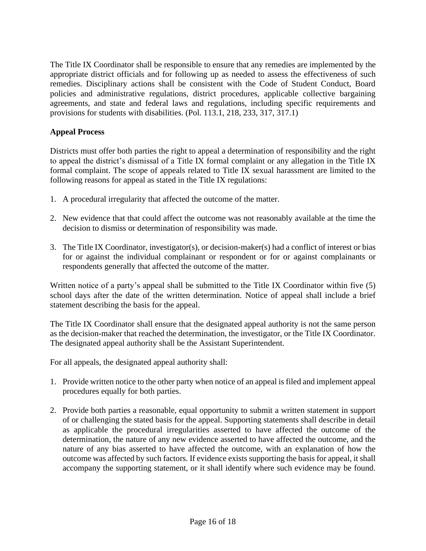The Title IX Coordinator shall be responsible to ensure that any remedies are implemented by the appropriate district officials and for following up as needed to assess the effectiveness of such remedies. Disciplinary actions shall be consistent with the Code of Student Conduct, Board policies and administrative regulations, district procedures, applicable collective bargaining agreements, and state and federal laws and regulations, including specific requirements and provisions for students with disabilities. (Pol. 113.1, 218, 233, 317, 317.1)

# **Appeal Process**

Districts must offer both parties the right to appeal a determination of responsibility and the right to appeal the district's dismissal of a Title IX formal complaint or any allegation in the Title IX formal complaint. The scope of appeals related to Title IX sexual harassment are limited to the following reasons for appeal as stated in the Title IX regulations:

- 1. A procedural irregularity that affected the outcome of the matter.
- 2. New evidence that that could affect the outcome was not reasonably available at the time the decision to dismiss or determination of responsibility was made.
- 3. The Title IX Coordinator, investigator(s), or decision-maker(s) had a conflict of interest or bias for or against the individual complainant or respondent or for or against complainants or respondents generally that affected the outcome of the matter.

Written notice of a party's appeal shall be submitted to the Title IX Coordinator within five (5) school days after the date of the written determination. Notice of appeal shall include a brief statement describing the basis for the appeal.

The Title IX Coordinator shall ensure that the designated appeal authority is not the same person as the decision-maker that reached the determination, the investigator, or the Title IX Coordinator. The designated appeal authority shall be the Assistant Superintendent.

For all appeals, the designated appeal authority shall:

- 1. Provide written notice to the other party when notice of an appeal is filed and implement appeal procedures equally for both parties.
- 2. Provide both parties a reasonable, equal opportunity to submit a written statement in support of or challenging the stated basis for the appeal. Supporting statements shall describe in detail as applicable the procedural irregularities asserted to have affected the outcome of the determination, the nature of any new evidence asserted to have affected the outcome, and the nature of any bias asserted to have affected the outcome, with an explanation of how the outcome was affected by such factors. If evidence exists supporting the basis for appeal, it shall accompany the supporting statement, or it shall identify where such evidence may be found.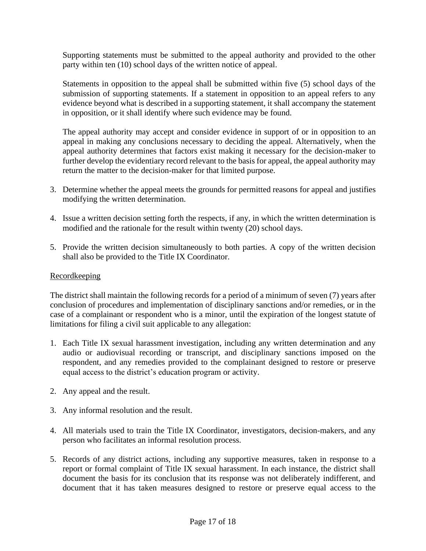Supporting statements must be submitted to the appeal authority and provided to the other party within ten (10) school days of the written notice of appeal.

Statements in opposition to the appeal shall be submitted within five (5) school days of the submission of supporting statements. If a statement in opposition to an appeal refers to any evidence beyond what is described in a supporting statement, it shall accompany the statement in opposition, or it shall identify where such evidence may be found.

The appeal authority may accept and consider evidence in support of or in opposition to an appeal in making any conclusions necessary to deciding the appeal. Alternatively, when the appeal authority determines that factors exist making it necessary for the decision-maker to further develop the evidentiary record relevant to the basis for appeal, the appeal authority may return the matter to the decision-maker for that limited purpose.

- 3. Determine whether the appeal meets the grounds for permitted reasons for appeal and justifies modifying the written determination.
- 4. Issue a written decision setting forth the respects, if any, in which the written determination is modified and the rationale for the result within twenty (20) school days.
- 5. Provide the written decision simultaneously to both parties. A copy of the written decision shall also be provided to the Title IX Coordinator.

### Recordkeeping

The district shall maintain the following records for a period of a minimum of seven (7) years after conclusion of procedures and implementation of disciplinary sanctions and/or remedies, or in the case of a complainant or respondent who is a minor, until the expiration of the longest statute of limitations for filing a civil suit applicable to any allegation:

- 1. Each Title IX sexual harassment investigation, including any written determination and any audio or audiovisual recording or transcript, and disciplinary sanctions imposed on the respondent, and any remedies provided to the complainant designed to restore or preserve equal access to the district's education program or activity.
- 2. Any appeal and the result.
- 3. Any informal resolution and the result.
- 4. All materials used to train the Title IX Coordinator, investigators, decision-makers, and any person who facilitates an informal resolution process.
- 5. Records of any district actions, including any supportive measures, taken in response to a report or formal complaint of Title IX sexual harassment. In each instance, the district shall document the basis for its conclusion that its response was not deliberately indifferent, and document that it has taken measures designed to restore or preserve equal access to the